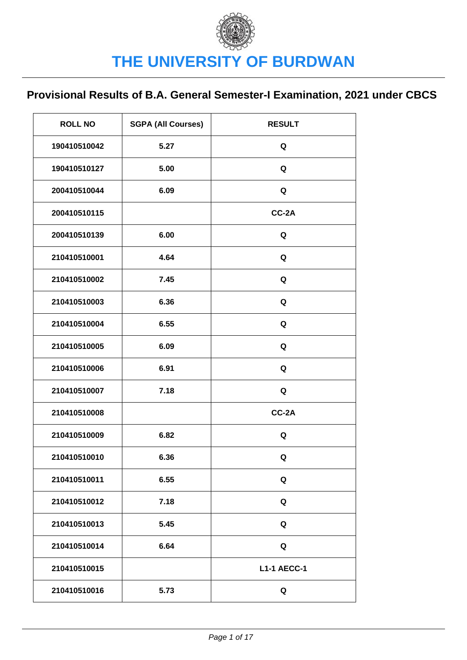| <b>ROLL NO</b> | <b>SGPA (All Courses)</b> | <b>RESULT</b>      |
|----------------|---------------------------|--------------------|
| 190410510042   | 5.27                      | Q                  |
| 190410510127   | 5.00                      | Q                  |
| 200410510044   | 6.09                      | Q                  |
| 200410510115   |                           | CC-2A              |
| 200410510139   | 6.00                      | Q                  |
| 210410510001   | 4.64                      | Q                  |
| 210410510002   | 7.45                      | Q                  |
| 210410510003   | 6.36                      | Q                  |
| 210410510004   | 6.55                      | Q                  |
| 210410510005   | 6.09                      | Q                  |
| 210410510006   | 6.91                      | Q                  |
| 210410510007   | 7.18                      | Q                  |
| 210410510008   |                           | CC-2A              |
| 210410510009   | 6.82                      | Q                  |
| 210410510010   | 6.36                      | Q                  |
| 210410510011   | 6.55                      | Q                  |
| 210410510012   | 7.18                      | Q                  |
| 210410510013   | 5.45                      | Q                  |
| 210410510014   | 6.64                      | Q                  |
| 210410510015   |                           | <b>L1-1 AECC-1</b> |
| 210410510016   | 5.73                      | Q                  |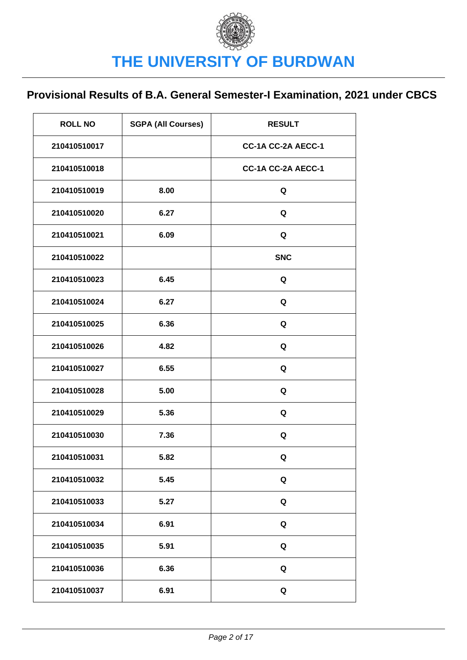| <b>ROLL NO</b> | <b>SGPA (All Courses)</b> | <b>RESULT</b>      |
|----------------|---------------------------|--------------------|
| 210410510017   |                           | CC-1A CC-2A AECC-1 |
| 210410510018   |                           | CC-1A CC-2A AECC-1 |
| 210410510019   | 8.00                      | Q                  |
| 210410510020   | 6.27                      | Q                  |
| 210410510021   | 6.09                      | Q                  |
| 210410510022   |                           | <b>SNC</b>         |
| 210410510023   | 6.45                      | Q                  |
| 210410510024   | 6.27                      | Q                  |
| 210410510025   | 6.36                      | Q                  |
| 210410510026   | 4.82                      | Q                  |
| 210410510027   | 6.55                      | Q                  |
| 210410510028   | 5.00                      | Q                  |
| 210410510029   | 5.36                      | Q                  |
| 210410510030   | 7.36                      | Q                  |
| 210410510031   | 5.82                      | Q                  |
| 210410510032   | 5.45                      | Q                  |
| 210410510033   | 5.27                      | Q                  |
| 210410510034   | 6.91                      | Q                  |
| 210410510035   | 5.91                      | Q                  |
| 210410510036   | 6.36                      | Q                  |
| 210410510037   | 6.91                      | Q                  |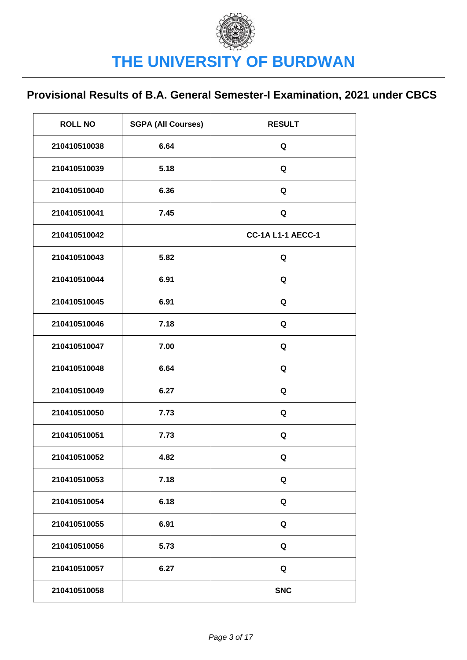| <b>ROLL NO</b> | <b>SGPA (All Courses)</b> | <b>RESULT</b>            |
|----------------|---------------------------|--------------------------|
| 210410510038   | 6.64                      | Q                        |
| 210410510039   | 5.18                      | Q                        |
| 210410510040   | 6.36                      | Q                        |
| 210410510041   | 7.45                      | Q                        |
| 210410510042   |                           | <b>CC-1A L1-1 AECC-1</b> |
| 210410510043   | 5.82                      | Q                        |
| 210410510044   | 6.91                      | Q                        |
| 210410510045   | 6.91                      | Q                        |
| 210410510046   | 7.18                      | Q                        |
| 210410510047   | 7.00                      | Q                        |
| 210410510048   | 6.64                      | Q                        |
| 210410510049   | 6.27                      | Q                        |
| 210410510050   | 7.73                      | Q                        |
| 210410510051   | 7.73                      | Q                        |
| 210410510052   | 4.82                      | Q                        |
| 210410510053   | 7.18                      | Q                        |
| 210410510054   | 6.18                      | Q                        |
| 210410510055   | 6.91                      | Q                        |
| 210410510056   | 5.73                      | Q                        |
| 210410510057   | 6.27                      | Q                        |
| 210410510058   |                           | <b>SNC</b>               |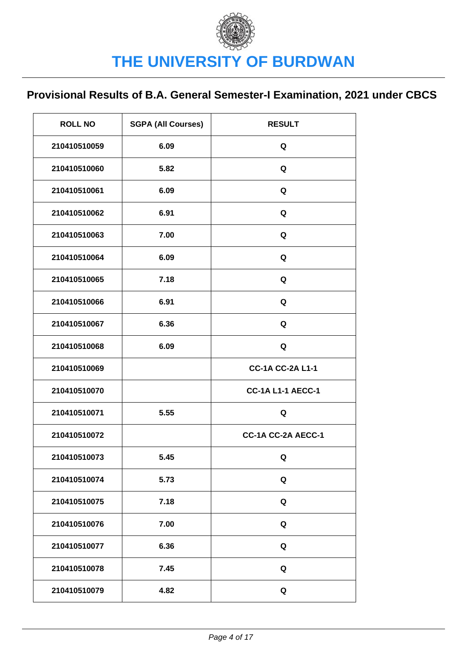| <b>ROLL NO</b> | <b>SGPA (All Courses)</b> | <b>RESULT</b>            |
|----------------|---------------------------|--------------------------|
| 210410510059   | 6.09                      | Q                        |
| 210410510060   | 5.82                      | Q                        |
| 210410510061   | 6.09                      | Q                        |
| 210410510062   | 6.91                      | Q                        |
| 210410510063   | 7.00                      | Q                        |
| 210410510064   | 6.09                      | Q                        |
| 210410510065   | 7.18                      | Q                        |
| 210410510066   | 6.91                      | Q                        |
| 210410510067   | 6.36                      | Q                        |
| 210410510068   | 6.09                      | Q                        |
| 210410510069   |                           | <b>CC-1A CC-2A L1-1</b>  |
| 210410510070   |                           | <b>CC-1A L1-1 AECC-1</b> |
| 210410510071   | 5.55                      | Q                        |
| 210410510072   |                           | CC-1A CC-2A AECC-1       |
| 210410510073   | 5.45                      | Q                        |
| 210410510074   | 5.73                      | Q                        |
| 210410510075   | 7.18                      | Q                        |
| 210410510076   | 7.00                      | Q                        |
| 210410510077   | 6.36                      | Q                        |
| 210410510078   | 7.45                      | Q                        |
| 210410510079   | 4.82                      | Q                        |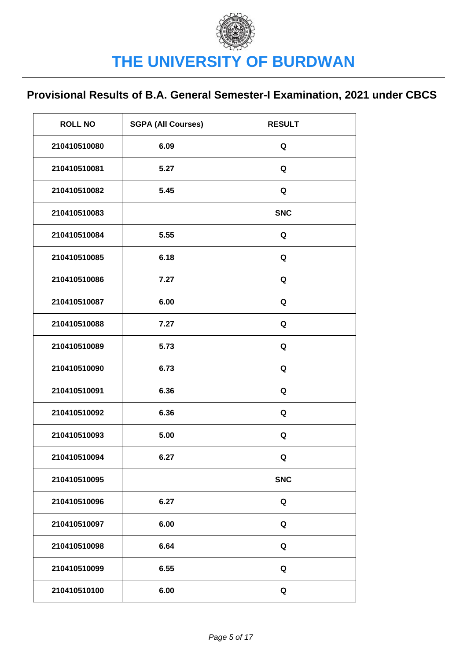| <b>ROLL NO</b> | <b>SGPA (All Courses)</b> | <b>RESULT</b> |
|----------------|---------------------------|---------------|
| 210410510080   | 6.09                      | Q             |
| 210410510081   | 5.27                      | Q             |
| 210410510082   | 5.45                      | Q             |
| 210410510083   |                           | <b>SNC</b>    |
| 210410510084   | 5.55                      | Q             |
| 210410510085   | 6.18                      | Q             |
| 210410510086   | 7.27                      | Q             |
| 210410510087   | 6.00                      | Q             |
| 210410510088   | 7.27                      | Q             |
| 210410510089   | 5.73                      | Q             |
| 210410510090   | 6.73                      | Q             |
| 210410510091   | 6.36                      | Q             |
| 210410510092   | 6.36                      | Q             |
| 210410510093   | 5.00                      | Q             |
| 210410510094   | 6.27                      | Q             |
| 210410510095   |                           | <b>SNC</b>    |
| 210410510096   | 6.27                      | Q             |
| 210410510097   | 6.00                      | Q             |
| 210410510098   | 6.64                      | Q             |
| 210410510099   | 6.55                      | Q             |
| 210410510100   | 6.00                      | Q             |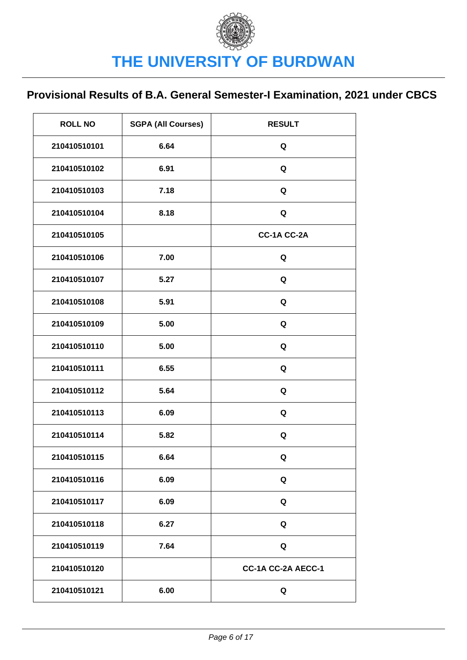| <b>ROLL NO</b> | <b>SGPA (All Courses)</b> | <b>RESULT</b>      |
|----------------|---------------------------|--------------------|
| 210410510101   | 6.64                      | Q                  |
| 210410510102   | 6.91                      | Q                  |
| 210410510103   | 7.18                      | Q                  |
| 210410510104   | 8.18                      | Q                  |
| 210410510105   |                           | CC-1A CC-2A        |
| 210410510106   | 7.00                      | Q                  |
| 210410510107   | 5.27                      | Q                  |
| 210410510108   | 5.91                      | Q                  |
| 210410510109   | 5.00                      | Q                  |
| 210410510110   | 5.00                      | Q                  |
| 210410510111   | 6.55                      | Q                  |
| 210410510112   | 5.64                      | Q                  |
| 210410510113   | 6.09                      | Q                  |
| 210410510114   | 5.82                      | Q                  |
| 210410510115   | 6.64                      | Q                  |
| 210410510116   | 6.09                      | Q                  |
| 210410510117   | 6.09                      | Q                  |
| 210410510118   | 6.27                      | Q                  |
| 210410510119   | 7.64                      | Q                  |
| 210410510120   |                           | CC-1A CC-2A AECC-1 |
| 210410510121   | 6.00                      | Q                  |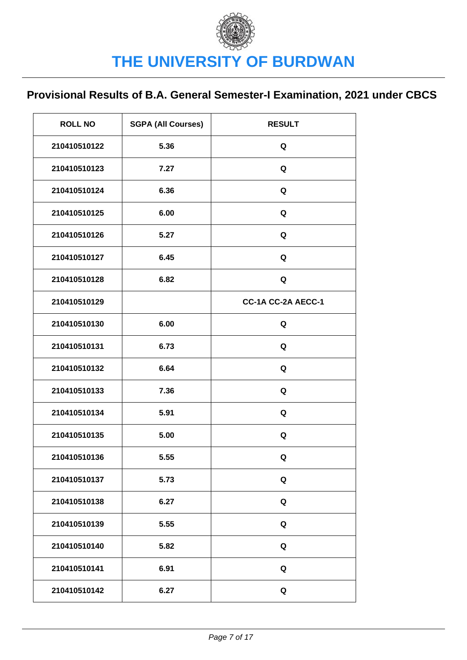| <b>ROLL NO</b> | <b>SGPA (All Courses)</b> | <b>RESULT</b>      |
|----------------|---------------------------|--------------------|
| 210410510122   | 5.36                      | Q                  |
| 210410510123   | 7.27                      | Q                  |
| 210410510124   | 6.36                      | Q                  |
| 210410510125   | 6.00                      | Q                  |
| 210410510126   | 5.27                      | Q                  |
| 210410510127   | 6.45                      | Q                  |
| 210410510128   | 6.82                      | Q                  |
| 210410510129   |                           | CC-1A CC-2A AECC-1 |
| 210410510130   | 6.00                      | Q                  |
| 210410510131   | 6.73                      | Q                  |
| 210410510132   | 6.64                      | Q                  |
| 210410510133   | 7.36                      | Q                  |
| 210410510134   | 5.91                      | Q                  |
| 210410510135   | 5.00                      | Q                  |
| 210410510136   | 5.55                      | Q                  |
| 210410510137   | 5.73                      | Q                  |
| 210410510138   | 6.27                      | Q                  |
| 210410510139   | 5.55                      | Q                  |
| 210410510140   | 5.82                      | Q                  |
| 210410510141   | 6.91                      | Q                  |
| 210410510142   | 6.27                      | $\mathbf Q$        |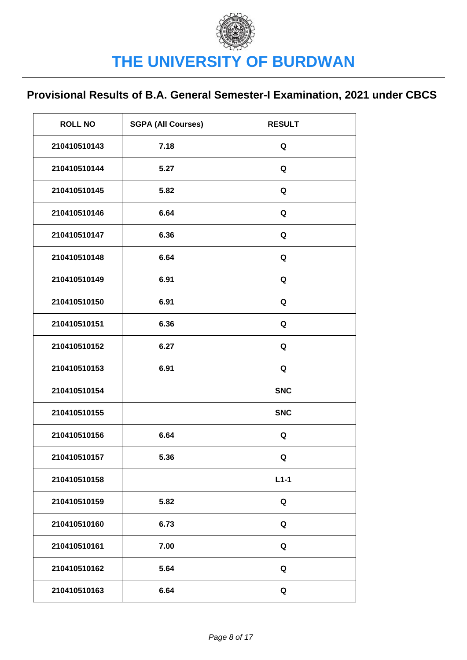| <b>ROLL NO</b> | <b>SGPA (All Courses)</b> | <b>RESULT</b> |
|----------------|---------------------------|---------------|
| 210410510143   | 7.18                      | Q             |
| 210410510144   | 5.27                      | Q             |
| 210410510145   | 5.82                      | Q             |
| 210410510146   | 6.64                      | Q             |
| 210410510147   | 6.36                      | Q             |
| 210410510148   | 6.64                      | Q             |
| 210410510149   | 6.91                      | Q             |
| 210410510150   | 6.91                      | Q             |
| 210410510151   | 6.36                      | Q             |
| 210410510152   | 6.27                      | Q             |
| 210410510153   | 6.91                      | Q             |
| 210410510154   |                           | <b>SNC</b>    |
| 210410510155   |                           | <b>SNC</b>    |
| 210410510156   | 6.64                      | Q             |
| 210410510157   | 5.36                      | Q             |
| 210410510158   |                           | $L1-1$        |
| 210410510159   | 5.82                      | Q             |
| 210410510160   | 6.73                      | Q             |
| 210410510161   | 7.00                      | Q             |
| 210410510162   | 5.64                      | Q             |
| 210410510163   | 6.64                      | Q             |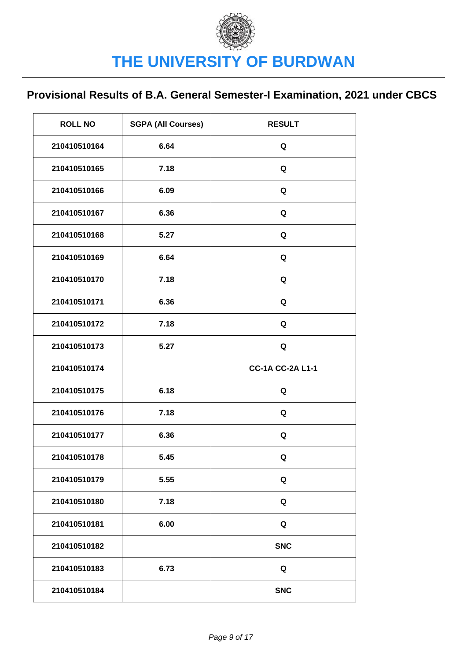| <b>ROLL NO</b> | <b>SGPA (All Courses)</b> | <b>RESULT</b>           |
|----------------|---------------------------|-------------------------|
| 210410510164   | 6.64                      | Q                       |
| 210410510165   | 7.18                      | Q                       |
| 210410510166   | 6.09                      | Q                       |
| 210410510167   | 6.36                      | Q                       |
| 210410510168   | 5.27                      | Q                       |
| 210410510169   | 6.64                      | Q                       |
| 210410510170   | 7.18                      | Q                       |
| 210410510171   | 6.36                      | Q                       |
| 210410510172   | 7.18                      | Q                       |
| 210410510173   | 5.27                      | Q                       |
| 210410510174   |                           | <b>CC-1A CC-2A L1-1</b> |
| 210410510175   | 6.18                      | Q                       |
| 210410510176   | 7.18                      | Q                       |
| 210410510177   | 6.36                      | Q                       |
| 210410510178   | 5.45                      | Q                       |
| 210410510179   | 5.55                      | Q                       |
| 210410510180   | 7.18                      | Q                       |
| 210410510181   | 6.00                      | Q                       |
| 210410510182   |                           | <b>SNC</b>              |
| 210410510183   | 6.73                      | Q                       |
| 210410510184   |                           | <b>SNC</b>              |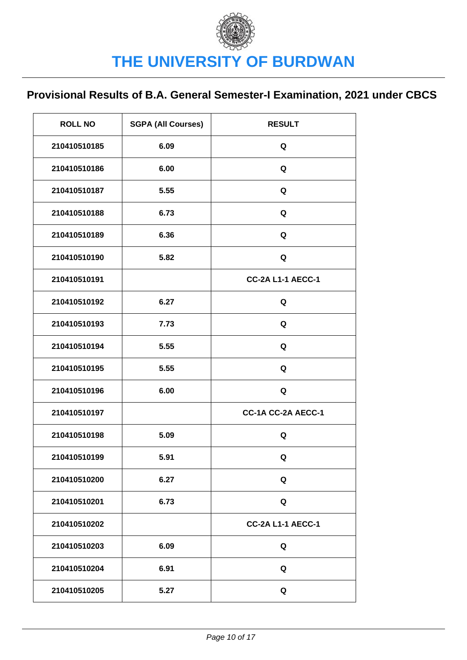| <b>ROLL NO</b> | <b>SGPA (All Courses)</b> | <b>RESULT</b>            |
|----------------|---------------------------|--------------------------|
| 210410510185   | 6.09                      | Q                        |
| 210410510186   | 6.00                      | Q                        |
| 210410510187   | 5.55                      | Q                        |
| 210410510188   | 6.73                      | Q                        |
| 210410510189   | 6.36                      | Q                        |
| 210410510190   | 5.82                      | Q                        |
| 210410510191   |                           | <b>CC-2A L1-1 AECC-1</b> |
| 210410510192   | 6.27                      | Q                        |
| 210410510193   | 7.73                      | Q                        |
| 210410510194   | 5.55                      | Q                        |
| 210410510195   | 5.55                      | Q                        |
| 210410510196   | 6.00                      | Q                        |
| 210410510197   |                           | CC-1A CC-2A AECC-1       |
| 210410510198   | 5.09                      | Q                        |
| 210410510199   | 5.91                      | Q                        |
| 210410510200   | 6.27                      | Q                        |
| 210410510201   | 6.73                      | Q                        |
| 210410510202   |                           | <b>CC-2A L1-1 AECC-1</b> |
| 210410510203   | 6.09                      | Q                        |
| 210410510204   | 6.91                      | Q                        |
| 210410510205   | 5.27                      | Q                        |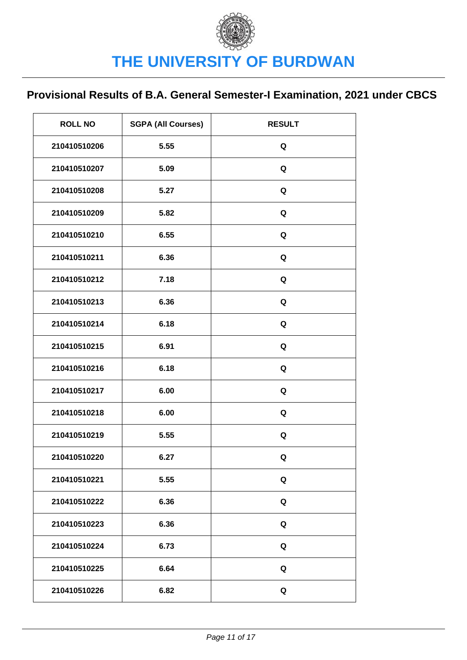| <b>ROLL NO</b> | <b>SGPA (All Courses)</b> | <b>RESULT</b> |
|----------------|---------------------------|---------------|
| 210410510206   | 5.55                      | Q             |
| 210410510207   | 5.09                      | Q             |
| 210410510208   | 5.27                      | Q             |
| 210410510209   | 5.82                      | Q             |
| 210410510210   | 6.55                      | Q             |
| 210410510211   | 6.36                      | Q             |
| 210410510212   | 7.18                      | Q             |
| 210410510213   | 6.36                      | Q             |
| 210410510214   | 6.18                      | Q             |
| 210410510215   | 6.91                      | Q             |
| 210410510216   | 6.18                      | Q             |
| 210410510217   | 6.00                      | Q             |
| 210410510218   | 6.00                      | Q             |
| 210410510219   | 5.55                      | Q             |
| 210410510220   | 6.27                      | Q             |
| 210410510221   | 5.55                      | Q             |
| 210410510222   | 6.36                      | Q             |
| 210410510223   | 6.36                      | Q             |
| 210410510224   | 6.73                      | Q             |
| 210410510225   | 6.64                      | Q             |
| 210410510226   | 6.82                      | Q             |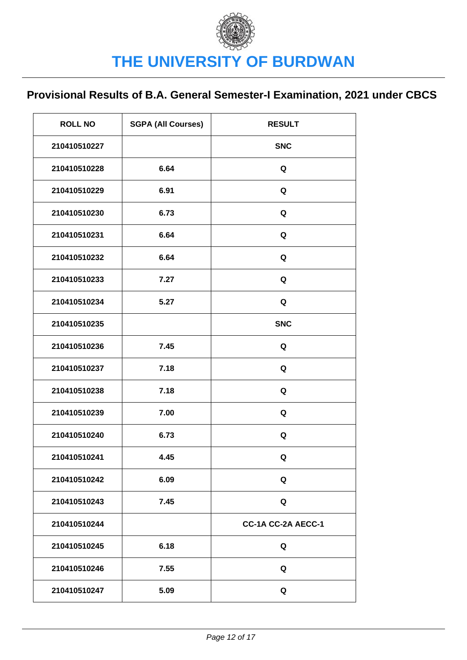| <b>ROLL NO</b> | <b>SGPA (All Courses)</b> | <b>RESULT</b>      |
|----------------|---------------------------|--------------------|
| 210410510227   |                           | <b>SNC</b>         |
| 210410510228   | 6.64                      | Q                  |
| 210410510229   | 6.91                      | Q                  |
| 210410510230   | 6.73                      | Q                  |
| 210410510231   | 6.64                      | Q                  |
| 210410510232   | 6.64                      | Q                  |
| 210410510233   | 7.27                      | Q                  |
| 210410510234   | 5.27                      | Q                  |
| 210410510235   |                           | <b>SNC</b>         |
| 210410510236   | 7.45                      | Q                  |
| 210410510237   | 7.18                      | Q                  |
| 210410510238   | 7.18                      | Q                  |
| 210410510239   | 7.00                      | Q                  |
| 210410510240   | 6.73                      | Q                  |
| 210410510241   | 4.45                      | Q                  |
| 210410510242   | 6.09                      | Q                  |
| 210410510243   | 7.45                      | Q                  |
| 210410510244   |                           | CC-1A CC-2A AECC-1 |
| 210410510245   | 6.18                      | Q                  |
| 210410510246   | 7.55                      | Q                  |
| 210410510247   | 5.09                      | Q                  |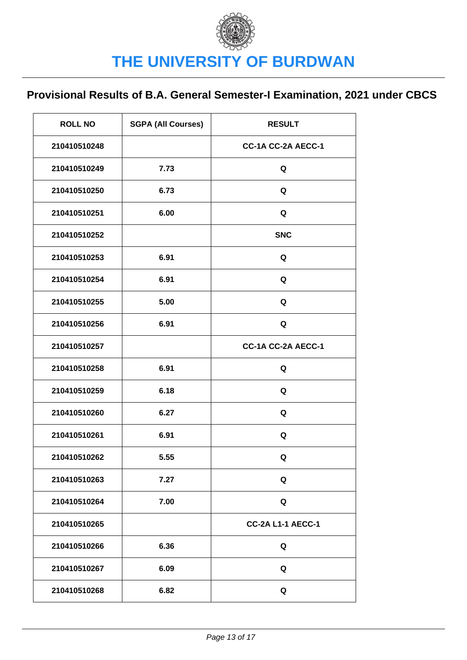| <b>ROLL NO</b> | <b>SGPA (All Courses)</b> | <b>RESULT</b>            |
|----------------|---------------------------|--------------------------|
| 210410510248   |                           | CC-1A CC-2A AECC-1       |
| 210410510249   | 7.73                      | Q                        |
| 210410510250   | 6.73                      | Q                        |
| 210410510251   | 6.00                      | Q                        |
| 210410510252   |                           | <b>SNC</b>               |
| 210410510253   | 6.91                      | Q                        |
| 210410510254   | 6.91                      | Q                        |
| 210410510255   | 5.00                      | Q                        |
| 210410510256   | 6.91                      | Q                        |
| 210410510257   |                           | CC-1A CC-2A AECC-1       |
| 210410510258   | 6.91                      | Q                        |
| 210410510259   | 6.18                      | Q                        |
| 210410510260   | 6.27                      | Q                        |
| 210410510261   | 6.91                      | Q                        |
| 210410510262   | 5.55                      | Q                        |
| 210410510263   | 7.27                      | Q                        |
| 210410510264   | 7.00                      | Q                        |
| 210410510265   |                           | <b>CC-2A L1-1 AECC-1</b> |
| 210410510266   | 6.36                      | Q                        |
| 210410510267   | 6.09                      | Q                        |
| 210410510268   | 6.82                      | Q                        |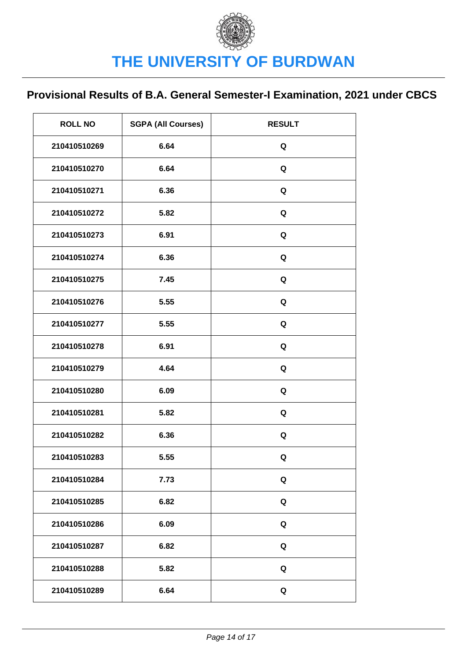| <b>ROLL NO</b> | <b>SGPA (All Courses)</b> | <b>RESULT</b> |
|----------------|---------------------------|---------------|
| 210410510269   | 6.64                      | Q             |
| 210410510270   | 6.64                      | Q             |
| 210410510271   | 6.36                      | Q             |
| 210410510272   | 5.82                      | Q             |
| 210410510273   | 6.91                      | Q             |
| 210410510274   | 6.36                      | Q             |
| 210410510275   | 7.45                      | Q             |
| 210410510276   | 5.55                      | Q             |
| 210410510277   | 5.55                      | Q             |
| 210410510278   | 6.91                      | Q             |
| 210410510279   | 4.64                      | Q             |
| 210410510280   | 6.09                      | Q             |
| 210410510281   | 5.82                      | Q             |
| 210410510282   | 6.36                      | Q             |
| 210410510283   | 5.55                      | Q             |
| 210410510284   | 7.73                      | Q             |
| 210410510285   | 6.82                      | Q             |
| 210410510286   | 6.09                      | Q             |
| 210410510287   | 6.82                      | Q             |
| 210410510288   | 5.82                      | Q             |
| 210410510289   | 6.64                      | Q             |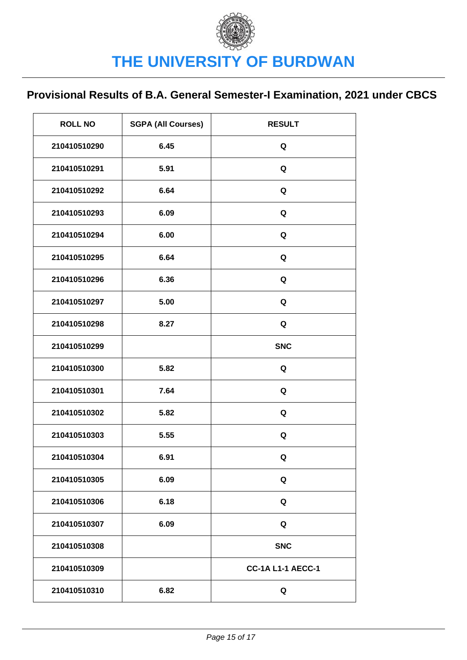| <b>ROLL NO</b> | <b>SGPA (All Courses)</b> | <b>RESULT</b>            |
|----------------|---------------------------|--------------------------|
| 210410510290   | 6.45                      | Q                        |
| 210410510291   | 5.91                      | Q                        |
| 210410510292   | 6.64                      | Q                        |
| 210410510293   | 6.09                      | Q                        |
| 210410510294   | 6.00                      | Q                        |
| 210410510295   | 6.64                      | Q                        |
| 210410510296   | 6.36                      | Q                        |
| 210410510297   | 5.00                      | Q                        |
| 210410510298   | 8.27                      | Q                        |
| 210410510299   |                           | <b>SNC</b>               |
| 210410510300   | 5.82                      | Q                        |
| 210410510301   | 7.64                      | Q                        |
| 210410510302   | 5.82                      | Q                        |
| 210410510303   | 5.55                      | Q                        |
| 210410510304   | 6.91                      | Q                        |
| 210410510305   | 6.09                      | Q                        |
| 210410510306   | 6.18                      | Q                        |
| 210410510307   | 6.09                      | Q                        |
| 210410510308   |                           | <b>SNC</b>               |
| 210410510309   |                           | <b>CC-1A L1-1 AECC-1</b> |
| 210410510310   | 6.82                      | Q                        |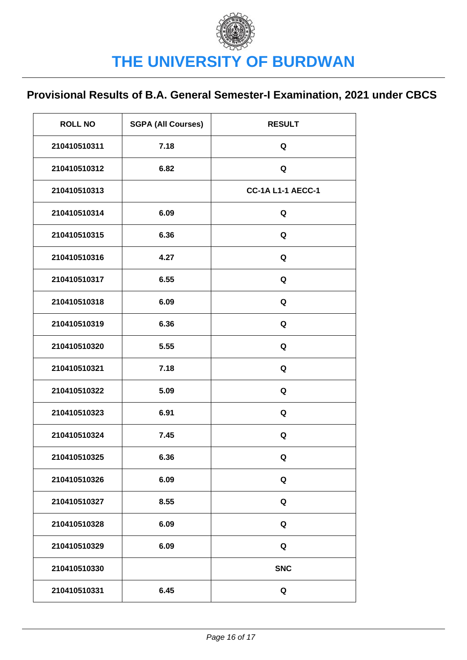| <b>ROLL NO</b> | <b>SGPA (All Courses)</b> | <b>RESULT</b>            |
|----------------|---------------------------|--------------------------|
| 210410510311   | 7.18                      | Q                        |
| 210410510312   | 6.82                      | Q                        |
| 210410510313   |                           | <b>CC-1A L1-1 AECC-1</b> |
| 210410510314   | 6.09                      | Q                        |
| 210410510315   | 6.36                      | Q                        |
| 210410510316   | 4.27                      | Q                        |
| 210410510317   | 6.55                      | Q                        |
| 210410510318   | 6.09                      | Q                        |
| 210410510319   | 6.36                      | Q                        |
| 210410510320   | 5.55                      | Q                        |
| 210410510321   | 7.18                      | Q                        |
| 210410510322   | 5.09                      | Q                        |
| 210410510323   | 6.91                      | Q                        |
| 210410510324   | 7.45                      | Q                        |
| 210410510325   | 6.36                      | Q                        |
| 210410510326   | 6.09                      | Q                        |
| 210410510327   | 8.55                      | Q                        |
| 210410510328   | 6.09                      | Q                        |
| 210410510329   | 6.09                      | Q                        |
| 210410510330   |                           | <b>SNC</b>               |
| 210410510331   | 6.45                      | Q                        |